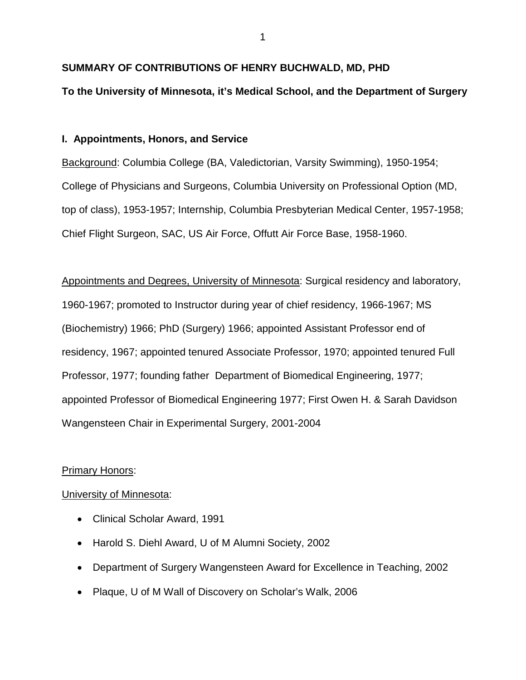# **SUMMARY OF CONTRIBUTIONS OF HENRY BUCHWALD, MD, PHD**

# **To the University of Minnesota, it's Medical School, and the Department of Surgery**

# **I. Appointments, Honors, and Service**

Background: Columbia College (BA, Valedictorian, Varsity Swimming), 1950-1954; College of Physicians and Surgeons, Columbia University on Professional Option (MD, top of class), 1953-1957; Internship, Columbia Presbyterian Medical Center, 1957-1958; Chief Flight Surgeon, SAC, US Air Force, Offutt Air Force Base, 1958-1960.

Appointments and Degrees, University of Minnesota: Surgical residency and laboratory, 1960-1967; promoted to Instructor during year of chief residency, 1966-1967; MS (Biochemistry) 1966; PhD (Surgery) 1966; appointed Assistant Professor end of residency, 1967; appointed tenured Associate Professor, 1970; appointed tenured Full Professor, 1977; founding father Department of Biomedical Engineering, 1977; appointed Professor of Biomedical Engineering 1977; First Owen H. & Sarah Davidson Wangensteen Chair in Experimental Surgery, 2001-2004

# Primary Honors:

# University of Minnesota:

- Clinical Scholar Award, 1991
- Harold S. Diehl Award, U of M Alumni Society, 2002
- Department of Surgery Wangensteen Award for Excellence in Teaching, 2002
- Plaque, U of M Wall of Discovery on Scholar's Walk, 2006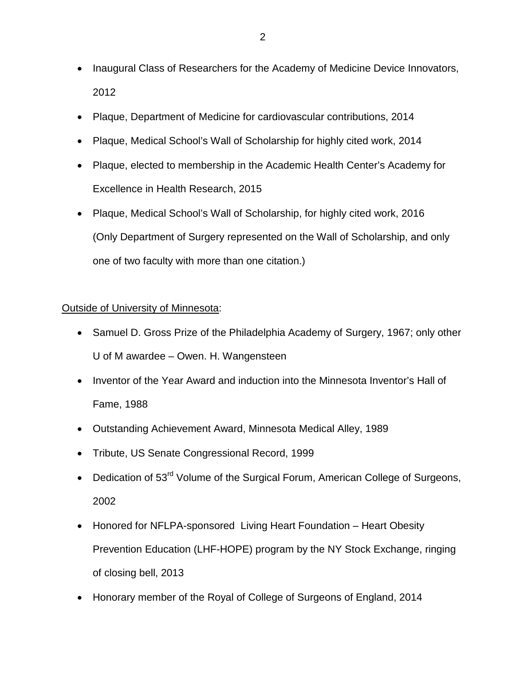- Inaugural Class of Researchers for the Academy of Medicine Device Innovators, 2012
- Plaque, Department of Medicine for cardiovascular contributions, 2014
- Plaque, Medical School's Wall of Scholarship for highly cited work, 2014
- Plaque, elected to membership in the Academic Health Center's Academy for Excellence in Health Research, 2015
- Plaque, Medical School's Wall of Scholarship, for highly cited work, 2016 (Only Department of Surgery represented on the Wall of Scholarship, and only one of two faculty with more than one citation.)

# Outside of University of Minnesota:

- Samuel D. Gross Prize of the Philadelphia Academy of Surgery, 1967; only other U of M awardee – Owen. H. Wangensteen
- Inventor of the Year Award and induction into the Minnesota Inventor's Hall of Fame, 1988
- Outstanding Achievement Award, Minnesota Medical Alley, 1989
- Tribute, US Senate Congressional Record, 1999
- Dedication of 53<sup>rd</sup> Volume of the Surgical Forum, American College of Surgeons, 2002
- Honored for NFLPA-sponsored Living Heart Foundation Heart Obesity Prevention Education (LHF-HOPE) program by the NY Stock Exchange, ringing of closing bell, 2013
- Honorary member of the Royal of College of Surgeons of England, 2014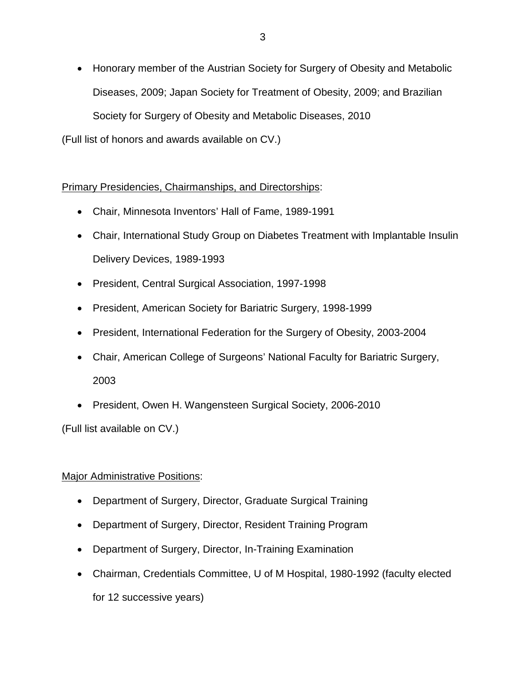• Honorary member of the Austrian Society for Surgery of Obesity and Metabolic Diseases, 2009; Japan Society for Treatment of Obesity, 2009; and Brazilian Society for Surgery of Obesity and Metabolic Diseases, 2010

(Full list of honors and awards available on CV.)

Primary Presidencies, Chairmanships, and Directorships:

- Chair, Minnesota Inventors' Hall of Fame, 1989-1991
- Chair, International Study Group on Diabetes Treatment with Implantable Insulin Delivery Devices, 1989-1993
- President, Central Surgical Association, 1997-1998
- President, American Society for Bariatric Surgery, 1998-1999
- President, International Federation for the Surgery of Obesity, 2003-2004
- Chair, American College of Surgeons' National Faculty for Bariatric Surgery, 2003
- President, Owen H. Wangensteen Surgical Society, 2006-2010

(Full list available on CV.)

# **Major Administrative Positions:**

- Department of Surgery, Director, Graduate Surgical Training
- Department of Surgery, Director, Resident Training Program
- Department of Surgery, Director, In-Training Examination
- Chairman, Credentials Committee, U of M Hospital, 1980-1992 (faculty elected for 12 successive years)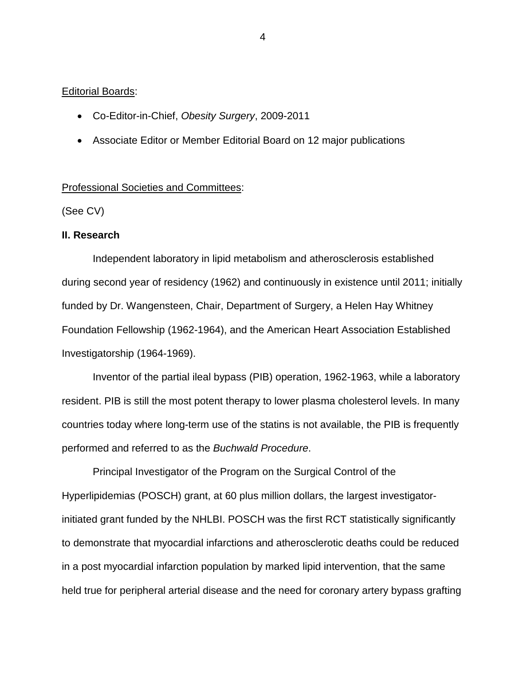## **Editorial Boards:**

- Co-Editor-in-Chief, *Obesity Surgery*, 2009-2011
- Associate Editor or Member Editorial Board on 12 major publications

### Professional Societies and Committees:

(See CV)

## **II. Research**

Independent laboratory in lipid metabolism and atherosclerosis established during second year of residency (1962) and continuously in existence until 2011; initially funded by Dr. Wangensteen, Chair, Department of Surgery, a Helen Hay Whitney Foundation Fellowship (1962-1964), and the American Heart Association Established Investigatorship (1964-1969).

Inventor of the partial ileal bypass (PIB) operation, 1962-1963, while a laboratory resident. PIB is still the most potent therapy to lower plasma cholesterol levels. In many countries today where long-term use of the statins is not available, the PIB is frequently performed and referred to as the *Buchwald Procedure*.

Principal Investigator of the Program on the Surgical Control of the Hyperlipidemias (POSCH) grant, at 60 plus million dollars, the largest investigatorinitiated grant funded by the NHLBI. POSCH was the first RCT statistically significantly to demonstrate that myocardial infarctions and atherosclerotic deaths could be reduced in a post myocardial infarction population by marked lipid intervention, that the same held true for peripheral arterial disease and the need for coronary artery bypass grafting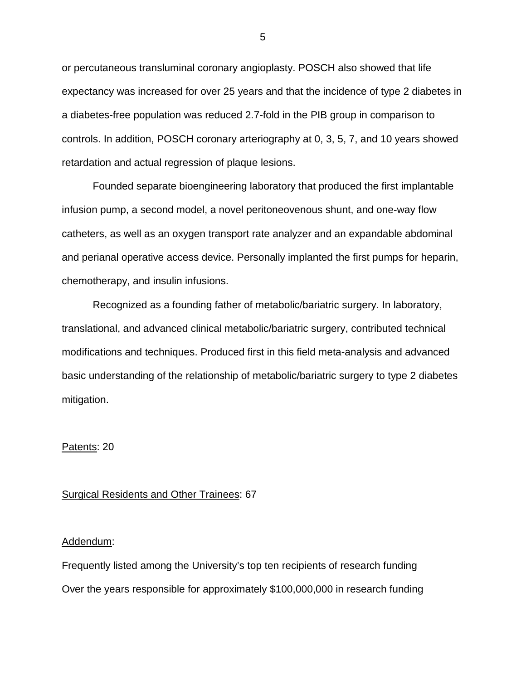or percutaneous transluminal coronary angioplasty. POSCH also showed that life expectancy was increased for over 25 years and that the incidence of type 2 diabetes in a diabetes-free population was reduced 2.7-fold in the PIB group in comparison to controls. In addition, POSCH coronary arteriography at 0, 3, 5, 7, and 10 years showed retardation and actual regression of plaque lesions.

Founded separate bioengineering laboratory that produced the first implantable infusion pump, a second model, a novel peritoneovenous shunt, and one-way flow catheters, as well as an oxygen transport rate analyzer and an expandable abdominal and perianal operative access device. Personally implanted the first pumps for heparin, chemotherapy, and insulin infusions.

Recognized as a founding father of metabolic/bariatric surgery. In laboratory, translational, and advanced clinical metabolic/bariatric surgery, contributed technical modifications and techniques. Produced first in this field meta-analysis and advanced basic understanding of the relationship of metabolic/bariatric surgery to type 2 diabetes mitigation.

## Patents: 20

### Surgical Residents and Other Trainees: 67

#### Addendum:

Frequently listed among the University's top ten recipients of research funding Over the years responsible for approximately \$100,000,000 in research funding

5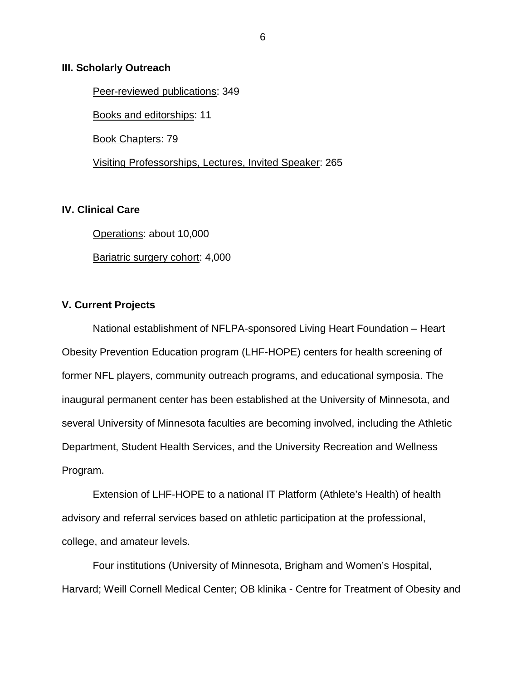## **III. Scholarly Outreach**

Peer-reviewed publications: 349 Books and editorships: 11 Book Chapters: 79 Visiting Professorships, Lectures, Invited Speaker: 265

## **IV. Clinical Care**

Operations: about 10,000 Bariatric surgery cohort: 4,000

# **V. Current Projects**

National establishment of NFLPA-sponsored Living Heart Foundation – Heart Obesity Prevention Education program (LHF-HOPE) centers for health screening of former NFL players, community outreach programs, and educational symposia. The inaugural permanent center has been established at the University of Minnesota, and several University of Minnesota faculties are becoming involved, including the Athletic Department, Student Health Services, and the University Recreation and Wellness Program.

Extension of LHF-HOPE to a national IT Platform (Athlete's Health) of health advisory and referral services based on athletic participation at the professional, college, and amateur levels.

Four institutions (University of Minnesota, Brigham and Women's Hospital, Harvard; Weill Cornell Medical Center; OB klinika - Centre for Treatment of Obesity and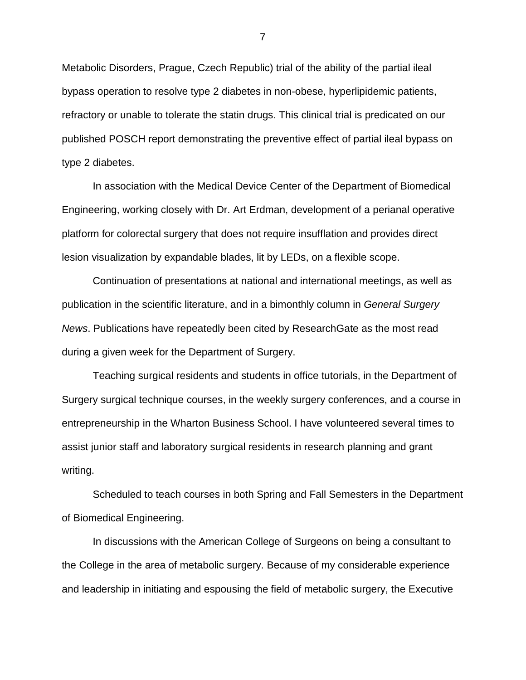Metabolic Disorders, Prague, Czech Republic) trial of the ability of the partial ileal bypass operation to resolve type 2 diabetes in non-obese, hyperlipidemic patients, refractory or unable to tolerate the statin drugs. This clinical trial is predicated on our published POSCH report demonstrating the preventive effect of partial ileal bypass on type 2 diabetes.

In association with the Medical Device Center of the Department of Biomedical Engineering, working closely with Dr. Art Erdman, development of a perianal operative platform for colorectal surgery that does not require insufflation and provides direct lesion visualization by expandable blades, lit by LEDs, on a flexible scope.

Continuation of presentations at national and international meetings, as well as publication in the scientific literature, and in a bimonthly column in *General Surgery News*. Publications have repeatedly been cited by ResearchGate as the most read during a given week for the Department of Surgery.

Teaching surgical residents and students in office tutorials, in the Department of Surgery surgical technique courses, in the weekly surgery conferences, and a course in entrepreneurship in the Wharton Business School. I have volunteered several times to assist junior staff and laboratory surgical residents in research planning and grant writing.

Scheduled to teach courses in both Spring and Fall Semesters in the Department of Biomedical Engineering.

In discussions with the American College of Surgeons on being a consultant to the College in the area of metabolic surgery. Because of my considerable experience and leadership in initiating and espousing the field of metabolic surgery, the Executive

7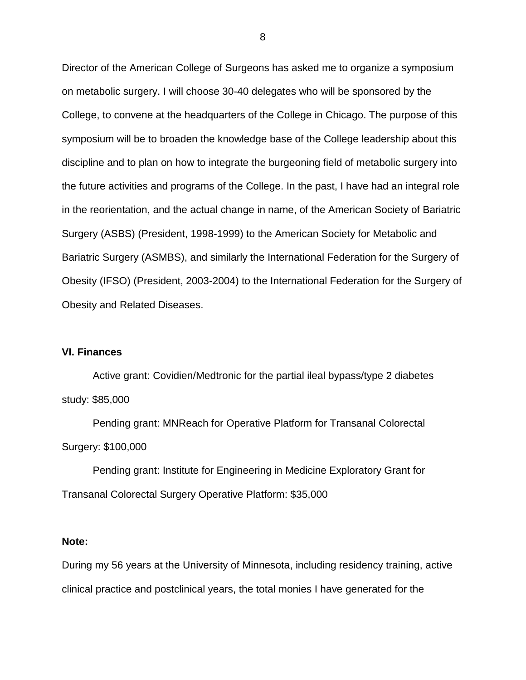Director of the American College of Surgeons has asked me to organize a symposium on metabolic surgery. I will choose 30-40 delegates who will be sponsored by the College, to convene at the headquarters of the College in Chicago. The purpose of this symposium will be to broaden the knowledge base of the College leadership about this discipline and to plan on how to integrate the burgeoning field of metabolic surgery into the future activities and programs of the College. In the past, I have had an integral role in the reorientation, and the actual change in name, of the American Society of Bariatric Surgery (ASBS) (President, 1998-1999) to the American Society for Metabolic and Bariatric Surgery (ASMBS), and similarly the International Federation for the Surgery of Obesity (IFSO) (President, 2003-2004) to the International Federation for the Surgery of Obesity and Related Diseases.

## **VI. Finances**

Active grant: Covidien/Medtronic for the partial ileal bypass/type 2 diabetes study: \$85,000

Pending grant: MNReach for Operative Platform for Transanal Colorectal Surgery: \$100,000

Pending grant: Institute for Engineering in Medicine Exploratory Grant for Transanal Colorectal Surgery Operative Platform: \$35,000

## **Note:**

During my 56 years at the University of Minnesota, including residency training, active clinical practice and postclinical years, the total monies I have generated for the